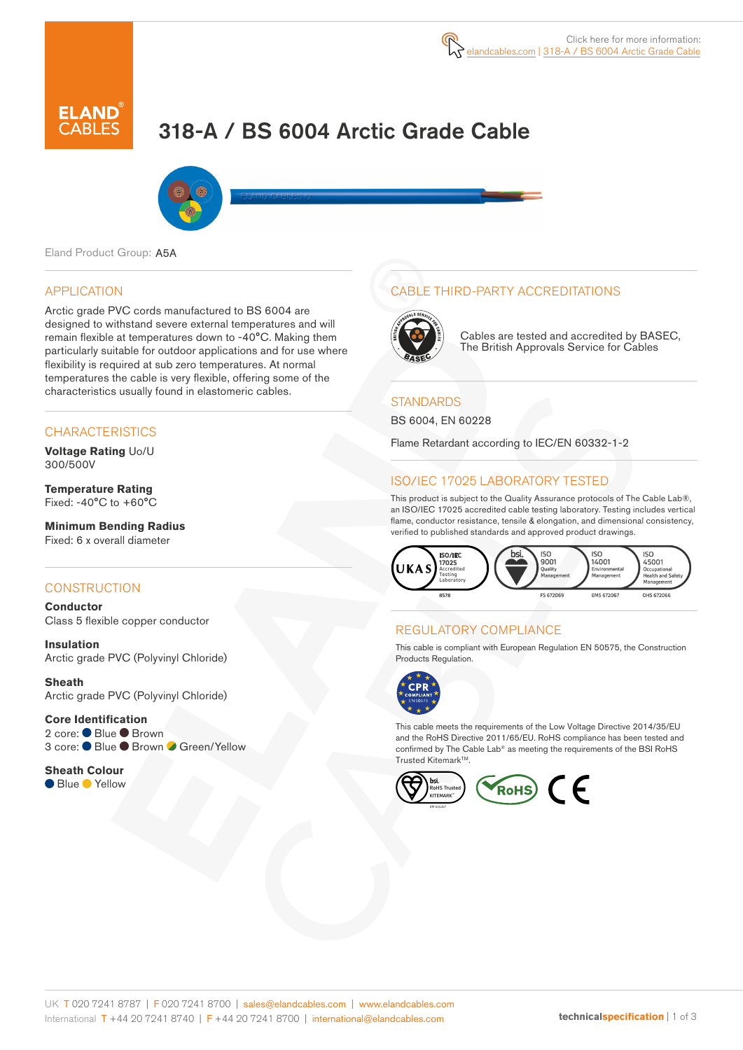

# 318-A / BS 6004 Arctic Grade Cable



Eland Product Group: A5A

#### APPLICATION

Arctic grade PVC cords manufactured to BS 6004 are designed to withstand severe external temperatures and will remain flexible at temperatures down to -40°C. Making them particularly suitable for outdoor applications and for use where flexibility is required at sub zero temperatures. At normal temperatures the cable is very flexible, offering some of the characteristics usually found in elastomeric cables.

#### **CHARACTERISTICS**

**Voltage Rating** Uo/U 300/500V

**Temperature Rating** Fixed: -40°C to +60°C

#### **Minimum Bending Radius**  Fixed: 6 x overall diameter

#### **CONSTRUCTION**

**Conductor** Class 5 flexible copper conductor

**Insulation** Arctic grade PVC (Polyvinyl Chloride)

**Sheath** Arctic grade PVC (Polyvinyl Chloride)

#### **Core Identification** 2 core: Blue Brown 3 core: ● Blue ● Brown ● Green/Yellow

**Sheath Colour** ● Blue ● Yellow

## CABLE THIRD-PARTY ACCREDITATIONS



Cables are tested and accredited by BASEC, The British Approvals Service for Cables

#### **STANDARDS**

BS 6004, EN 60228

Flame Retardant according to IEC/EN 60332-1-2

## ISO/IEC 17025 LABORATORY TESTED

This product is subject to the Quality Assurance protocols of The Cable Lab®, an ISO/IEC 17025 accredited cable testing laboratory. Testing includes vertical flame, conductor resistance, tensile & elongation, and dimensional consistency, verified to published standards and approved product drawings.



## REGULATORY COMPLIANCE

This cable is compliant with European Regulation EN 50575, the Construction Products Regulation.



This cable meets the requirements of the Low Voltage Directive 2014/35/EU and the RoHS Directive 2011/65/EU. RoHS compliance has been tested and confirmed by The Cable Lab® as meeting the requirements of the BSI RoHS Trusted Kitemark™.

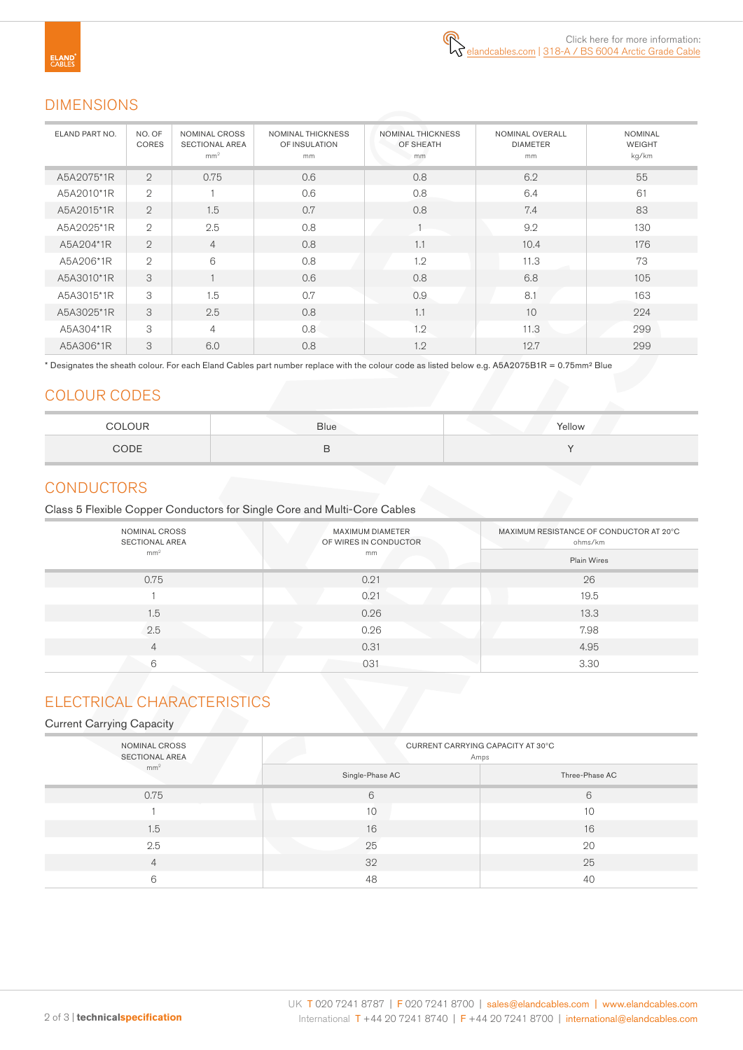## DIMENSIONS

| ELAND PART NO. | NO. OF<br>CORES | <b>NOMINAL CROSS</b><br><b>SECTIONAL AREA</b><br>mm <sup>2</sup> | <b>NOMINAL THICKNESS</b><br>OF INSULATION<br>mm | <b>NOMINAL THICKNESS</b><br>OF SHEATH<br>mm | NOMINAL OVERALL<br><b>DIAMETER</b><br>mm | <b>NOMINAL</b><br><b>WEIGHT</b><br>kg/km |
|----------------|-----------------|------------------------------------------------------------------|-------------------------------------------------|---------------------------------------------|------------------------------------------|------------------------------------------|
| A5A2075*1R     | $\overline{2}$  | 0.75                                                             | 0.6                                             | 0.8                                         | 6.2                                      | 55                                       |
| A5A2010*1R     | $\overline{2}$  |                                                                  | 0.6                                             | 0.8                                         | 6.4                                      | 61                                       |
| A5A2015*1R     | $\overline{2}$  | 1.5                                                              | 0.7                                             | 0.8                                         | 7.4                                      | 83                                       |
| A5A2025*1R     | $\overline{2}$  | 2.5                                                              | 0.8                                             |                                             | 9.2                                      | 130                                      |
| A5A204*1R      | $\overline{2}$  | $\overline{4}$                                                   | 0.8                                             | 1.1                                         | 10.4                                     | 176                                      |
| A5A206*1R      | $\mathfrak{2}$  | 6                                                                | 0.8                                             | 1.2                                         | 11.3                                     | 73                                       |
| A5A3010*1R     | 3               |                                                                  | 0.6                                             | 0.8                                         | 6.8                                      | 105                                      |
| A5A3015*1R     | 3               | 1.5                                                              | 0.7                                             | 0.9                                         | 8.1                                      | 163                                      |
| A5A3025*1R     | 3               | 2.5                                                              | 0.8                                             | 1.1                                         | 10                                       | 224                                      |
| A5A304*1R      | 3               | 4                                                                | 0.8                                             | 1.2                                         | 11.3                                     | 299                                      |
| A5A306*1R      | 3               | 6.0                                                              | 0.8                                             | 1.2                                         | 12.7                                     | 299                                      |

\* Designates the sheath colour. For each Eland Cables part number replace with the colour code as listed below e.g. A5A2075B1R = 0.75mm² Blue

## COLOUR CODES

| $\bigcap$ ID<br>$\sim$ $\sim$ | <b>Blue</b> | Yellow |
|-------------------------------|-------------|--------|
| CODE                          | ີ           |        |

## **CONDUCTORS**

Class 5 Flexible Copper Conductors for Single Core and Multi-Core Cables

| NOMINAL CROSS<br><b>SECTIONAL AREA</b> | <b>MAXIMUM DIAMETER</b><br>OF WIRES IN CONDUCTOR | MAXIMUM RESISTANCE OF CONDUCTOR AT 20°C<br>ohms/km<br><b>Plain Wires</b> |  |
|----------------------------------------|--------------------------------------------------|--------------------------------------------------------------------------|--|
| mm <sup>2</sup>                        | mm                                               |                                                                          |  |
| 0.75                                   | 0.21                                             | 26                                                                       |  |
|                                        | 0.21                                             | 19.5                                                                     |  |
| 1.5                                    | 0.26                                             | 13.3                                                                     |  |
| 2.5                                    | 0.26                                             | 7.98                                                                     |  |
| 4                                      | 0.31                                             | 4.95                                                                     |  |
| 6                                      | 031                                              | 3.30                                                                     |  |

# ELECTRICAL CHARACTERISTICS

#### Current Carrying Capacity

| NOMINAL CROSS<br><b>SECTIONAL AREA</b> | CURRENT CARRYING CAPACITY AT 30°C<br>Amps |                |  |  |
|----------------------------------------|-------------------------------------------|----------------|--|--|
| mm <sup>2</sup>                        | Single-Phase AC                           | Three-Phase AC |  |  |
| 0.75                                   | 6                                         | 6              |  |  |
|                                        | 10                                        | 10             |  |  |
| 1.5                                    | 16                                        | 16             |  |  |
| 2.5                                    | 25                                        | 20             |  |  |
| $\overline{4}$                         | 32                                        | 25             |  |  |
| 6                                      | 48                                        | 40             |  |  |